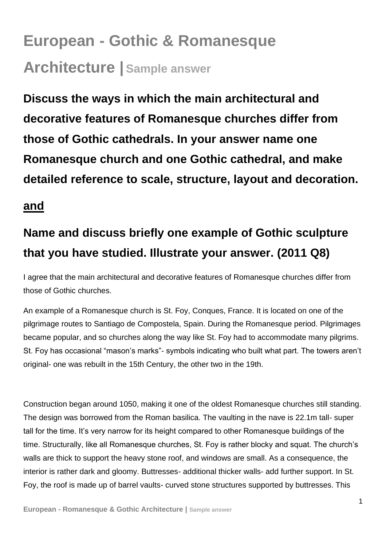## **European - Gothic & Romanesque Architecture | Sample answer**

**Discuss the ways in which the main architectural and decorative features of Romanesque churches differ from those of Gothic cathedrals. In your answer name one Romanesque church and one Gothic cathedral, and make detailed reference to scale, structure, layout and decoration.** 

## **and**

## **Name and discuss briefly one example of Gothic sculpture that you have studied. Illustrate your answer. (2011 Q8)**

I agree that the main architectural and decorative features of Romanesque churches differ from those of Gothic churches.

An example of a Romanesque church is St. Foy, Conques, France. It is located on one of the pilgrimage routes to Santiago de Compostela, Spain. During the Romanesque period. Pilgrimages became popular, and so churches along the way like St. Foy had to accommodate many pilgrims. St. Foy has occasional "mason's marks"- symbols indicating who built what part. The towers aren't original- one was rebuilt in the 15th Century, the other two in the 19th.

Construction began around 1050, making it one of the oldest Romanesque churches still standing. The design was borrowed from the Roman basilica. The vaulting in the nave is 22.1m tall- super tall for the time. It's very narrow for its height compared to other Romanesque buildings of the time. Structurally, like all Romanesque churches, St. Foy is rather blocky and squat. The church's walls are thick to support the heavy stone roof, and windows are small. As a consequence, the interior is rather dark and gloomy. Buttresses- additional thicker walls- add further support. In St. Foy, the roof is made up of barrel vaults- curved stone structures supported by buttresses. This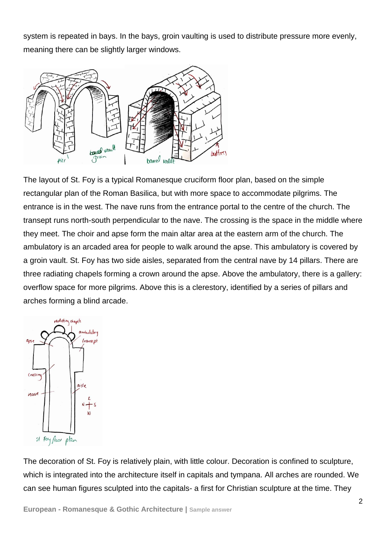system is repeated in bays. In the bays, groin vaulting is used to distribute pressure more evenly, meaning there can be slightly larger windows.



The layout of St. Foy is a typical Romanesque cruciform floor plan, based on the simple rectangular plan of the Roman Basilica, but with more space to accommodate pilgrims. The entrance is in the west. The nave runs from the entrance portal to the centre of the church. The transept runs north-south perpendicular to the nave. The crossing is the space in the middle where they meet. The choir and apse form the main altar area at the eastern arm of the church. The ambulatory is an arcaded area for people to walk around the apse. This ambulatory is covered by a groin vault. St. Foy has two side aisles, separated from the central nave by 14 pillars. There are three radiating chapels forming a crown around the apse. Above the ambulatory, there is a gallery: overflow space for more pilgrims. Above this is a clerestory, identified by a series of pillars and arches forming a blind arcade.



The decoration of St. Foy is relatively plain, with little colour. Decoration is confined to sculpture, which is integrated into the architecture itself in capitals and tympana. All arches are rounded. We can see human figures sculpted into the capitals- a first for Christian sculpture at the time. They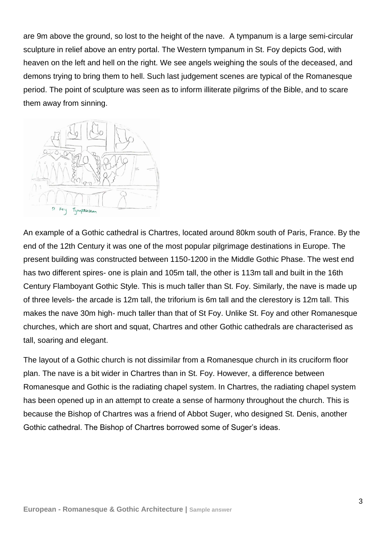are 9m above the ground, so lost to the height of the nave. A tympanum is a large semi-circular sculpture in relief above an entry portal. The Western tympanum in St. Foy depicts God, with heaven on the left and hell on the right. We see angels weighing the souls of the deceased, and demons trying to bring them to hell. Such last judgement scenes are typical of the Romanesque period. The point of sculpture was seen as to inform illiterate pilgrims of the Bible, and to scare them away from sinning.



An example of a Gothic cathedral is Chartres, located around 80km south of Paris, France. By the end of the 12th Century it was one of the most popular pilgrimage destinations in Europe. The present building was constructed between 1150-1200 in the Middle Gothic Phase. The west end has two different spires- one is plain and 105m tall, the other is 113m tall and built in the 16th Century Flamboyant Gothic Style. This is much taller than St. Foy. Similarly, the nave is made up of three levels- the arcade is 12m tall, the triforium is 6m tall and the clerestory is 12m tall. This makes the nave 30m high- much taller than that of St Foy. Unlike St. Foy and other Romanesque churches, which are short and squat, Chartres and other Gothic cathedrals are characterised as tall, soaring and elegant.

The layout of a Gothic church is not dissimilar from a Romanesque church in its cruciform floor plan. The nave is a bit wider in Chartres than in St. Foy. However, a difference between Romanesque and Gothic is the radiating chapel system. In Chartres, the radiating chapel system has been opened up in an attempt to create a sense of harmony throughout the church. This is because the Bishop of Chartres was a friend of Abbot Suger, who designed St. Denis, another Gothic cathedral. The Bishop of Chartres borrowed some of Suger's ideas.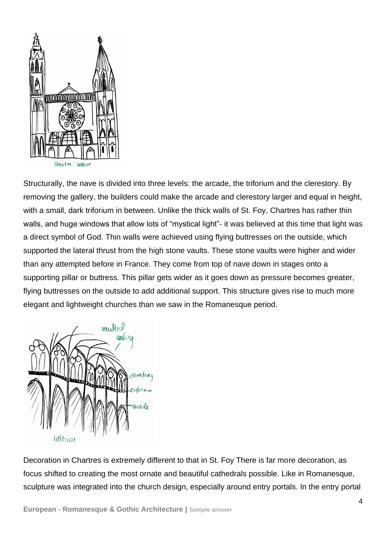

Structurally, the nave is divided into three levels: the arcade, the triforium and the clerestory. By removing the gallery, the builders could make the arcade and clerestory larger and equal in height, with a small, dark triforium in between. Unlike the thick walls of St. Foy, Chartres has rather thin walls, and huge windows that allow lots of "mystical light"- it was believed at this time that light was a direct symbol of God. Thin walls were achieved using flying buttresses on the outside, which supported the lateral thrust from the high stone vaults. These stone vaults were higher and wider than any attempted before in France. They come from top of nave down in stages onto a supporting pillar or buttress. This pillar gets wider as it goes down as pressure becomes greater, flying buttresses on the outside to add additional support. This structure gives rise to much more elegant and lightweight churches than we saw in the Romanesque period.



Decoration in Chartres is extremely different to that in St. Foy There is far more decoration, as focus shifted to creating the most ornate and beautiful cathedrals possible. Like in Romanesque, sculpture was integrated into the church design, especially around entry portals. In the entry portal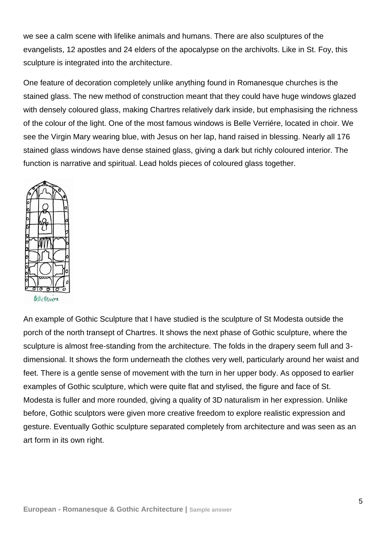we see a calm scene with lifelike animals and humans. There are also sculptures of the evangelists, 12 apostles and 24 elders of the apocalypse on the archivolts. Like in St. Foy, this sculpture is integrated into the architecture.

One feature of decoration completely unlike anything found in Romanesque churches is the stained glass. The new method of construction meant that they could have huge windows glazed with densely coloured glass, making Chartres relatively dark inside, but emphasising the richness of the colour of the light. One of the most famous windows is Belle Verriére, located in choir. We see the Virgin Mary wearing blue, with Jesus on her lap, hand raised in blessing. Nearly all 176 stained glass windows have dense stained glass, giving a dark but richly coloured interior. The function is narrative and spiritual. Lead holds pieces of coloured glass together.



An example of Gothic Sculpture that I have studied is the sculpture of St Modesta outside the porch of the north transept of Chartres. It shows the next phase of Gothic sculpture, where the sculpture is almost free-standing from the architecture. The folds in the drapery seem full and 3 dimensional. It shows the form underneath the clothes very well, particularly around her waist and feet. There is a gentle sense of movement with the turn in her upper body. As opposed to earlier examples of Gothic sculpture, which were quite flat and stylised, the figure and face of St. Modesta is fuller and more rounded, giving a quality of 3D naturalism in her expression. Unlike before, Gothic sculptors were given more creative freedom to explore realistic expression and gesture. Eventually Gothic sculpture separated completely from architecture and was seen as an art form in its own right.